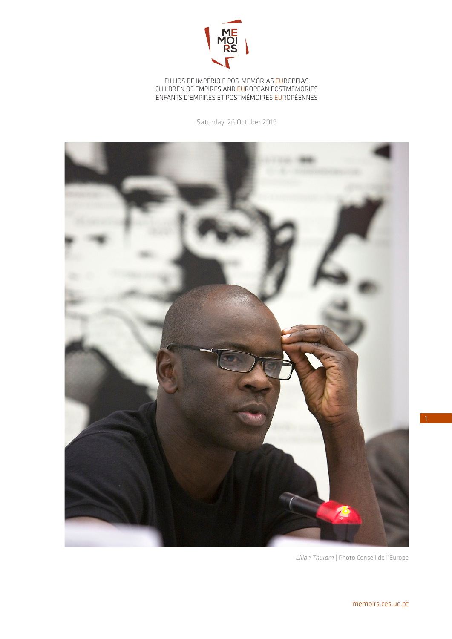

FILHOS DE IMPÉRIO E PÓS-MEMÓRIAS EUROPEIAS CHILDREN OF EMPIRES AND EUROPEAN POSTMEMORIES ENFANTS D'EMPIRES ET POSTMÉMOIRES EUROPÉENNES

Saturday, 26 October 2019



*Lilian Thuram |* Photo Conseil de l'Europe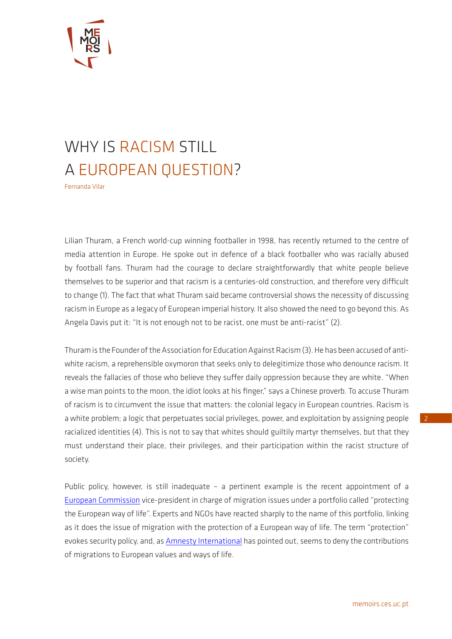

## WHY IS RACISM STILL A EUROPEAN QUESTION?

Fernanda Vilar

Lilian Thuram, a French world-cup winning footballer in 1998, has recently returned to the centre of media attention in Europe. He spoke out in defence of a black footballer who was racially abused by football fans. Thuram had the courage to declare straightforwardly that white people believe themselves to be superior and that racism is a centuries-old construction, and therefore very difficult to change (1). The fact that what Thuram said became controversial shows the necessity of discussing racism in Europe as a legacy of European imperial history. It also showed the need to go beyond this. As Angela Davis put it: "It is not enough not to be racist, one must be anti-racist" (2).

Thuram is the Founder of the Association for Education Against Racism (3). He has been accused of antiwhite racism, a reprehensible oxymoron that seeks only to delegitimize those who denounce racism. It reveals the fallacies of those who believe they suffer daily oppression because they are white. "When a wise man points to the moon, the idiot looks at his finger," says a Chinese proverb. To accuse Thuram of racism is to circumvent the issue that matters: the colonial legacy in European countries. Racism is a white problem; a logic that perpetuates social privileges, power, and exploitation by assigning people racialized identities (4). This is not to say that whites should guiltily martyr themselves, but that they must understand their place, their privileges, and their participation within the racist structure of society.

Public policy, however, is still inadequate – a pertinent example is the recent appointment of a [European Commission](https://www.lemonde.fr/afrique/article/2019/09/18/un-commissaire-charge-de-la-protection-du-mode-de-vie-europeen-qui-fait-reagir-en-afrique_5512093_3212.html) vice-president in charge of migration issues under a portfolio called "protecting the European way of life". Experts and NGOs have reacted sharply to the name of this portfolio, linking as it does the issue of migration with the protection of a European way of life. The term "protection" evokes security policy, and, as [Amnesty International](https://www.courrierinternational.com/article/immigration-pluie-de-critiques-apres-la-nomination-dun-commissaire-charge-de-la-protection) has pointed out, seems to deny the contributions of migrations to European values and ways of life.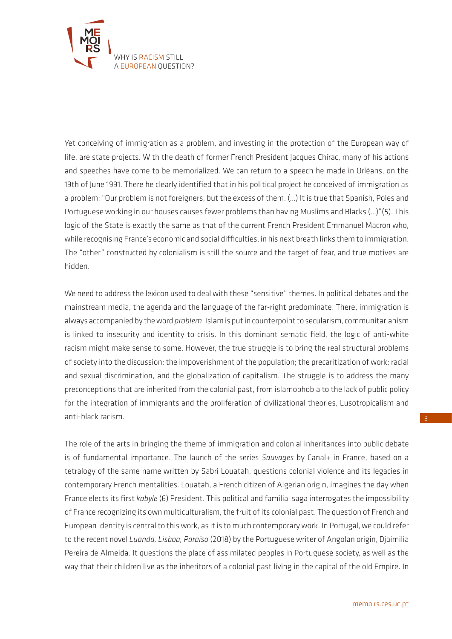

Yet conceiving of immigration as a problem, and investing in the protection of the European way of life, are state projects. With the death of former French President Jacques Chirac, many of his actions and speeches have come to be memorialized. We can return to a speech he made in Orléans, on the 19th of June 1991. There he clearly identified that in his political project he conceived of immigration as a problem: "Our problem is not foreigners, but the excess of them. (…) It is true that Spanish, Poles and Portuguese working in our houses causes fewer problems than having Muslims and Blacks (…)"(5). This logic of the State is exactly the same as that of the current French President Emmanuel Macron who, while recognising France's economic and social difficulties, in his next breath links them to immigration. The "other" constructed by colonialism is still the source and the target of fear, and true motives are hidden.

We need to address the lexicon used to deal with these "sensitive" themes. In political debates and the mainstream media, the agenda and the language of the far-right predominate. There, immigration is always accompanied by the word *problem*. Islam is put in counterpoint to secularism, communitarianism is linked to insecurity and identity to crisis. In this dominant sematic field, the logic of anti-white racism might make sense to some. However, the true struggle is to bring the real structural problems of society into the discussion: the impoverishment of the population; the precaritization of work; racial and sexual discrimination, and the globalization of capitalism. The struggle is to address the many preconceptions that are inherited from the colonial past, from islamophobia to the lack of public policy for the integration of immigrants and the proliferation of civilizational theories, Lusotropicalism and anti-black racism.

The role of the arts in bringing the theme of immigration and colonial inheritances into public debate is of fundamental importance. The launch of the series *Sauvages* by Canal+ in France, based on a tetralogy of the same name written by Sabri Louatah, questions colonial violence and its legacies in contemporary French mentalities. Louatah, a French citizen of Algerian origin, imagines the day when France elects its first *kabyle* (6) President. This political and familial saga interrogates the impossibility of France recognizing its own multiculturalism, the fruit of its colonial past. The question of French and European identity is central to this work, as it is to much contemporary work. In Portugal, we could refer to the recent novel *Luanda, Lisboa, Paraíso* (2018) by the Portuguese writer of Angolan origin, Djaimilia Pereira de Almeida. It questions the place of assimilated peoples in Portuguese society, as well as the way that their children live as the inheritors of a colonial past living in the capital of the old Empire. In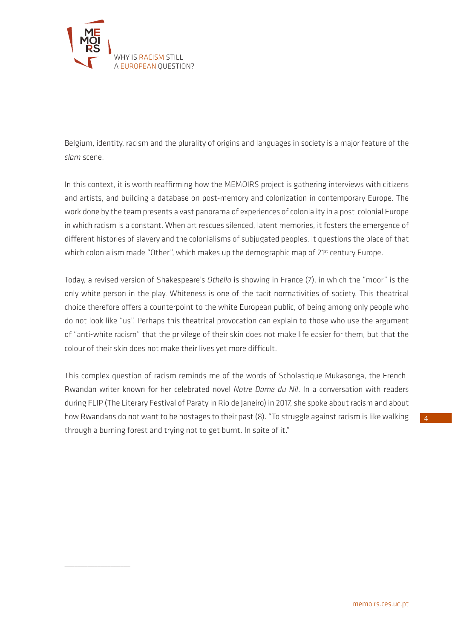

 $\overline{\phantom{a}}$  , where  $\overline{\phantom{a}}$ 

Belgium, identity, racism and the plurality of origins and languages in society is a major feature of the *slam* scene.

In this context, it is worth reaffirming how the MEMOIRS project is gathering interviews with citizens and artists, and building a database on post-memory and colonization in contemporary Europe. The work done by the team presents a vast panorama of experiences of coloniality in a post-colonial Europe in which racism is a constant. When art rescues silenced, latent memories, it fosters the emergence of different histories of slavery and the colonialisms of subjugated peoples. It questions the place of that which colonialism made "Other", which makes up the demographic map of 21<sup>st</sup> century Europe.

Today, a revised version of Shakespeare's *Othello* is showing in France (7), in which the "moor" is the only white person in the play. Whiteness is one of the tacit normativities of society. This theatrical choice therefore offers a counterpoint to the white European public, of being among only people who do not look like "us". Perhaps this theatrical provocation can explain to those who use the argument of "anti-white racism" that the privilege of their skin does not make life easier for them, but that the colour of their skin does not make their lives yet more difficult.

This complex question of racism reminds me of the words of Scholastique Mukasonga, the French-Rwandan writer known for her celebrated novel *Notre Dame du Nil*. In a conversation with readers during FLIP (The Literary Festival of Paraty in Rio de Janeiro) in 2017, she spoke about racism and about how Rwandans do not want to be hostages to their past (8). "To struggle against racism is like walking through a burning forest and trying not to get burnt. In spite of it."